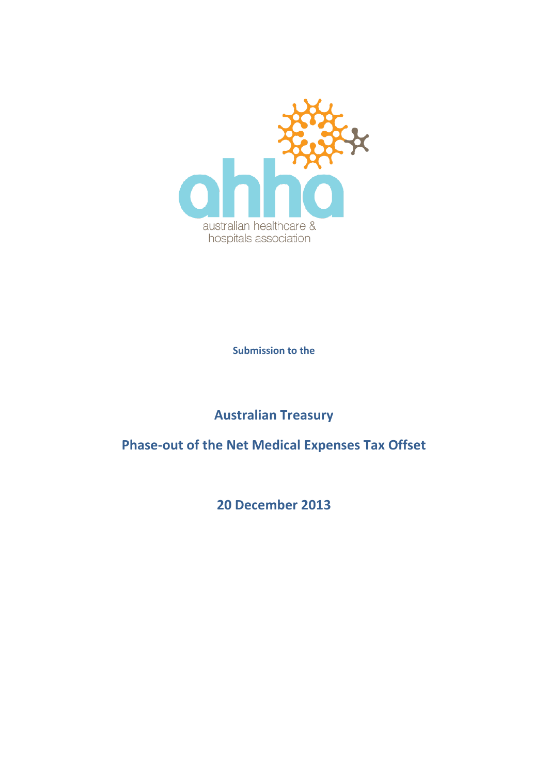

**Submission to the**

**Australian Treasury**

**Phase-out of the Net Medical Expenses Tax Offset**

**20 December 2013**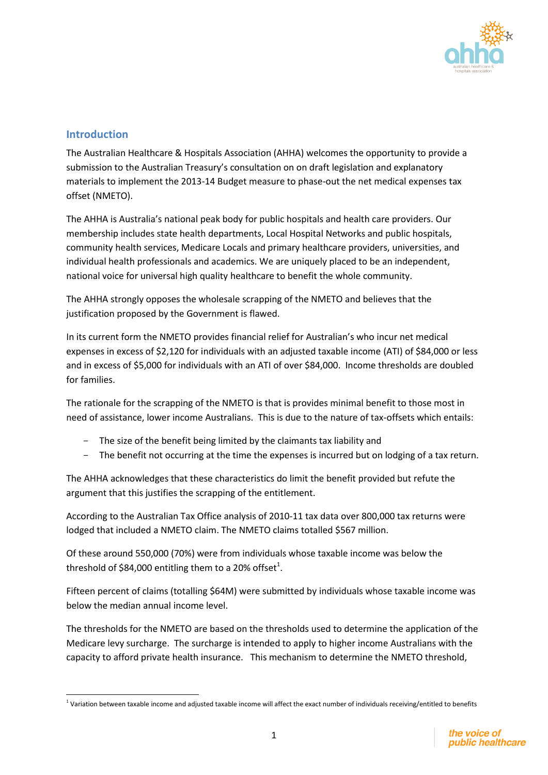

## **Introduction**

 $\overline{\phantom{a}}$ 

The Australian Healthcare & Hospitals Association (AHHA) welcomes the opportunity to provide a submission to the Australian Treasury's consultation on on draft legislation and explanatory materials to implement the 2013-14 Budget measure to phase-out the net medical expenses tax offset (NMETO).

The AHHA is Australia's national peak body for public hospitals and health care providers. Our membership includes state health departments, Local Hospital Networks and public hospitals, community health services, Medicare Locals and primary healthcare providers, universities, and individual health professionals and academics. We are uniquely placed to be an independent, national voice for universal high quality healthcare to benefit the whole community.

The AHHA strongly opposes the wholesale scrapping of the NMETO and believes that the justification proposed by the Government is flawed.

In its current form the NMETO provides financial relief for Australian's who incur net medical expenses in excess of \$2,120 for individuals with an adjusted taxable income (ATI) of \$84,000 or less and in excess of \$5,000 for individuals with an ATI of over \$84,000. Income thresholds are doubled for families.

The rationale for the scrapping of the NMETO is that is provides minimal benefit to those most in need of assistance, lower income Australians. This is due to the nature of tax-offsets which entails:

- The size of the benefit being limited by the claimants tax liability and
- The benefit not occurring at the time the expenses is incurred but on lodging of a tax return.

The AHHA acknowledges that these characteristics do limit the benefit provided but refute the argument that this justifies the scrapping of the entitlement.

According to the Australian Tax Office analysis of 2010-11 tax data over 800,000 tax returns were lodged that included a NMETO claim. The NMETO claims totalled \$567 million.

Of these around 550,000 (70%) were from individuals whose taxable income was below the threshold of \$84,000 entitling them to a 20% offset<sup>1</sup>.

Fifteen percent of claims (totalling \$64M) were submitted by individuals whose taxable income was below the median annual income level.

The thresholds for the NMETO are based on the thresholds used to determine the application of the Medicare levy surcharge. The surcharge is intended to apply to higher income Australians with the capacity to afford private health insurance. This mechanism to determine the NMETO threshold,

 $1$  Variation between taxable income and adjusted taxable income will affect the exact number of individuals receiving/entitled to benefits